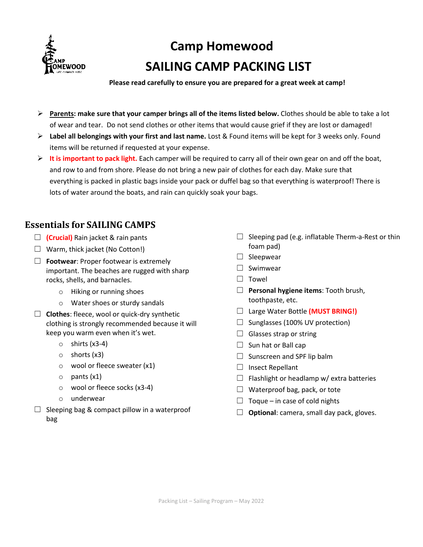

# **Camp Homewood SAILING CAMP PACKING LIST**

**Please read carefully to ensure you are prepared for a great week at camp!**

- **Parents: make sure that your camper brings all of the items listed below.** Clothes should be able to take a lot of wear and tear. Do not send clothes or other items that would cause grief if they are lost or damaged!
- **Label all belongings with your first and last name.** Lost & Found items will be kept for 3 weeks only. Found items will be returned if requested at your expense.
- **It is important to pack light.** Each camper will be required to carry all of their own gear on and off the boat, and row to and from shore. Please do not bring a new pair of clothes for each day. Make sure that everything is packed in plastic bags inside your pack or duffel bag so that everything is waterproof! There is lots of water around the boats, and rain can quickly soak your bags.

## **Essentials for SAILING CAMPS**

- ☐ **(Crucial)** Rain jacket & rain pants
- $\Box$  Warm, thick jacket (No Cotton!)
- ☐ **Footwear**: Proper footwear is extremely important. The beaches are rugged with sharp rocks, shells, and barnacles.
	- o Hiking or running shoes
	- o Water shoes or sturdy sandals
- ☐ **Clothes**: fleece, wool or quick-dry synthetic clothing is strongly recommended because it will keep you warm even when it's wet.
	- $\circ$  shirts (x3-4)
	- o shorts (x3)
	- o wool or fleece sweater (x1)
	- o pants (x1)
	- o wool or fleece socks (x3-4)
	- o underwear
- $\Box$  Sleeping bag & compact pillow in a waterproof bag
- $\Box$  Sleeping pad (e.g. inflatable Therm-a-Rest or thin foam pad)
- $\Box$  Sleepwear
- □ Swimwear
- ☐ Towel
- ☐ **Personal hygiene items**: Tooth brush, toothpaste, etc.
- ☐ Large Water Bottle **(MUST BRING!)**
- $\Box$  Sunglasses (100% UV protection)
- $\Box$  Glasses strap or string
- $\Box$  Sun hat or Ball cap
- $\Box$  Sunscreen and SPF lip balm
- □ Insect Repellant
- $\Box$  Flashlight or headlamp w/ extra batteries
- $\Box$  Waterproof bag, pack, or tote
- $\Box$  Toque in case of cold nights
- ☐ **Optional**: camera, small day pack, gloves.